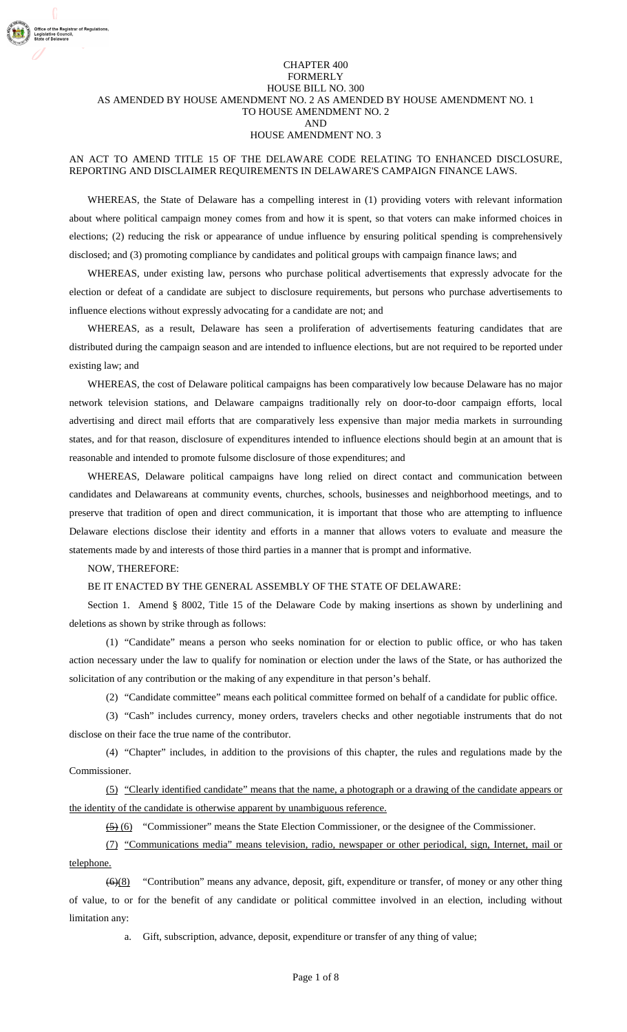### CHAPTER 400 FORMERLY HOUSE BILL NO. 300 AS AMENDED BY HOUSE AMENDMENT NO. 2 AS AMENDED BY HOUSE AMENDMENT NO. 1 TO HOUSE AMENDMENT NO. 2 AND HOUSE AMENDMENT NO. 3

## AN ACT TO AMEND TITLE 15 OF THE DELAWARE CODE RELATING TO ENHANCED DISCLOSURE, REPORTING AND DISCLAIMER REQUIREMENTS IN DELAWARE'S CAMPAIGN FINANCE LAWS.

WHEREAS, the State of Delaware has a compelling interest in (1) providing voters with relevant information about where political campaign money comes from and how it is spent, so that voters can make informed choices in elections; (2) reducing the risk or appearance of undue influence by ensuring political spending is comprehensively disclosed; and (3) promoting compliance by candidates and political groups with campaign finance laws; and

WHEREAS, under existing law, persons who purchase political advertisements that expressly advocate for the election or defeat of a candidate are subject to disclosure requirements, but persons who purchase advertisements to influence elections without expressly advocating for a candidate are not; and

WHEREAS, as a result, Delaware has seen a proliferation of advertisements featuring candidates that are distributed during the campaign season and are intended to influence elections, but are not required to be reported under existing law; and

WHEREAS, the cost of Delaware political campaigns has been comparatively low because Delaware has no major network television stations, and Delaware campaigns traditionally rely on door-to-door campaign efforts, local advertising and direct mail efforts that are comparatively less expensive than major media markets in surrounding states, and for that reason, disclosure of expenditures intended to influence elections should begin at an amount that is reasonable and intended to promote fulsome disclosure of those expenditures; and

WHEREAS, Delaware political campaigns have long relied on direct contact and communication between candidates and Delawareans at community events, churches, schools, businesses and neighborhood meetings, and to preserve that tradition of open and direct communication, it is important that those who are attempting to influence Delaware elections disclose their identity and efforts in a manner that allows voters to evaluate and measure the statements made by and interests of those third parties in a manner that is prompt and informative.

### NOW, THEREFORE:

### BE IT ENACTED BY THE GENERAL ASSEMBLY OF THE STATE OF DELAWARE:

Section 1. Amend § 8002, Title 15 of the Delaware Code by making insertions as shown by underlining and deletions as shown by strike through as follows:

(1) "Candidate" means a person who seeks nomination for or election to public office, or who has taken action necessary under the law to qualify for nomination or election under the laws of the State, or has authorized the solicitation of any contribution or the making of any expenditure in that person's behalf.

(2) "Candidate committee" means each political committee formed on behalf of a candidate for public office.

(3) "Cash" includes currency, money orders, travelers checks and other negotiable instruments that do not disclose on their face the true name of the contributor.

(4) "Chapter" includes, in addition to the provisions of this chapter, the rules and regulations made by the Commissioner.

(5) "Clearly identified candidate" means that the name, a photograph or a drawing of the candidate appears or the identity of the candidate is otherwise apparent by unambiguous reference.

(5) (6) "Commissioner" means the State Election Commissioner, or the designee of the Commissioner.

(7) "Communications media" means television, radio, newspaper or other periodical, sign, Internet, mail or telephone.

(6)(8) "Contribution" means any advance, deposit, gift, expenditure or transfer, of money or any other thing of value, to or for the benefit of any candidate or political committee involved in an election, including without limitation any:

a. Gift, subscription, advance, deposit, expenditure or transfer of any thing of value;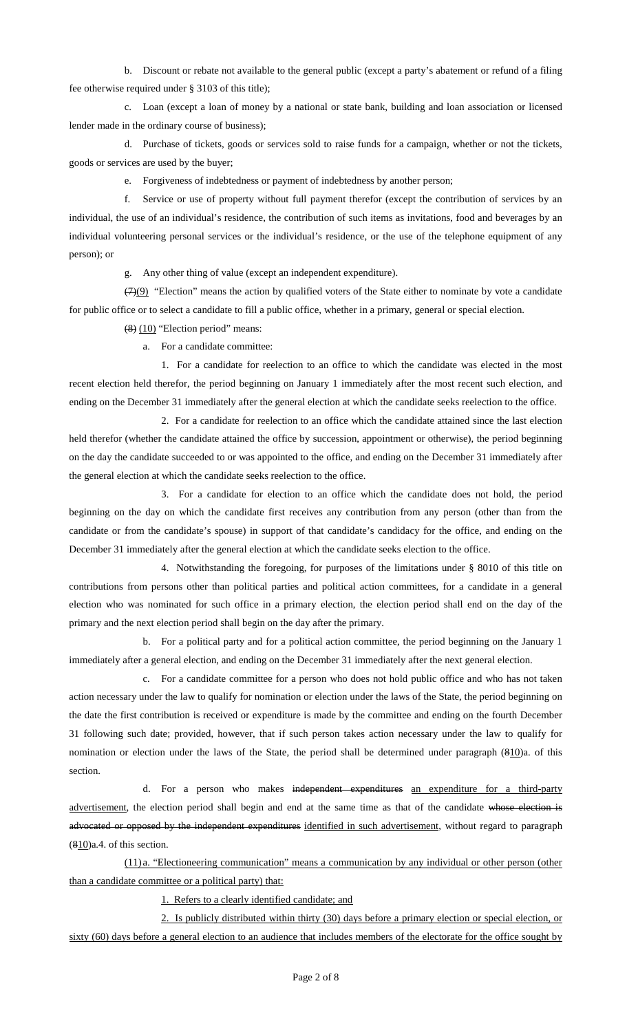b. Discount or rebate not available to the general public (except a party's abatement or refund of a filing fee otherwise required under § 3103 of this title);

c. Loan (except a loan of money by a national or state bank, building and loan association or licensed lender made in the ordinary course of business);

d. Purchase of tickets, goods or services sold to raise funds for a campaign, whether or not the tickets, goods or services are used by the buyer;

e. Forgiveness of indebtedness or payment of indebtedness by another person;

f. Service or use of property without full payment therefor (except the contribution of services by an individual, the use of an individual's residence, the contribution of such items as invitations, food and beverages by an individual volunteering personal services or the individual's residence, or the use of the telephone equipment of any person); or

g. Any other thing of value (except an independent expenditure).

 $(7)(9)$  "Election" means the action by qualified voters of the State either to nominate by vote a candidate for public office or to select a candidate to fill a public office, whether in a primary, general or special election.

(8) (10) "Election period" means:

a. For a candidate committee:

1. For a candidate for reelection to an office to which the candidate was elected in the most recent election held therefor, the period beginning on January 1 immediately after the most recent such election, and ending on the December 31 immediately after the general election at which the candidate seeks reelection to the office.

2. For a candidate for reelection to an office which the candidate attained since the last election held therefor (whether the candidate attained the office by succession, appointment or otherwise), the period beginning on the day the candidate succeeded to or was appointed to the office, and ending on the December 31 immediately after the general election at which the candidate seeks reelection to the office.

3. For a candidate for election to an office which the candidate does not hold, the period beginning on the day on which the candidate first receives any contribution from any person (other than from the candidate or from the candidate's spouse) in support of that candidate's candidacy for the office, and ending on the December 31 immediately after the general election at which the candidate seeks election to the office.

4. Notwithstanding the foregoing, for purposes of the limitations under § 8010 of this title on contributions from persons other than political parties and political action committees, for a candidate in a general election who was nominated for such office in a primary election, the election period shall end on the day of the primary and the next election period shall begin on the day after the primary.

b. For a political party and for a political action committee, the period beginning on the January 1 immediately after a general election, and ending on the December 31 immediately after the next general election.

c. For a candidate committee for a person who does not hold public office and who has not taken action necessary under the law to qualify for nomination or election under the laws of the State, the period beginning on the date the first contribution is received or expenditure is made by the committee and ending on the fourth December 31 following such date; provided, however, that if such person takes action necessary under the law to qualify for nomination or election under the laws of the State, the period shall be determined under paragraph (810)a. of this section.

d. For a person who makes independent expenditures an expenditure for a third-party advertisement, the election period shall begin and end at the same time as that of the candidate whose election is advocated or opposed by the independent expenditures identified in such advertisement, without regard to paragraph (810)a.4. of this section.

(11) a. "Electioneering communication" means a communication by any individual or other person (other than a candidate committee or a political party) that:

1. Refers to a clearly identified candidate; and

2. Is publicly distributed within thirty (30) days before a primary election or special election, or sixty (60) days before a general election to an audience that includes members of the electorate for the office sought by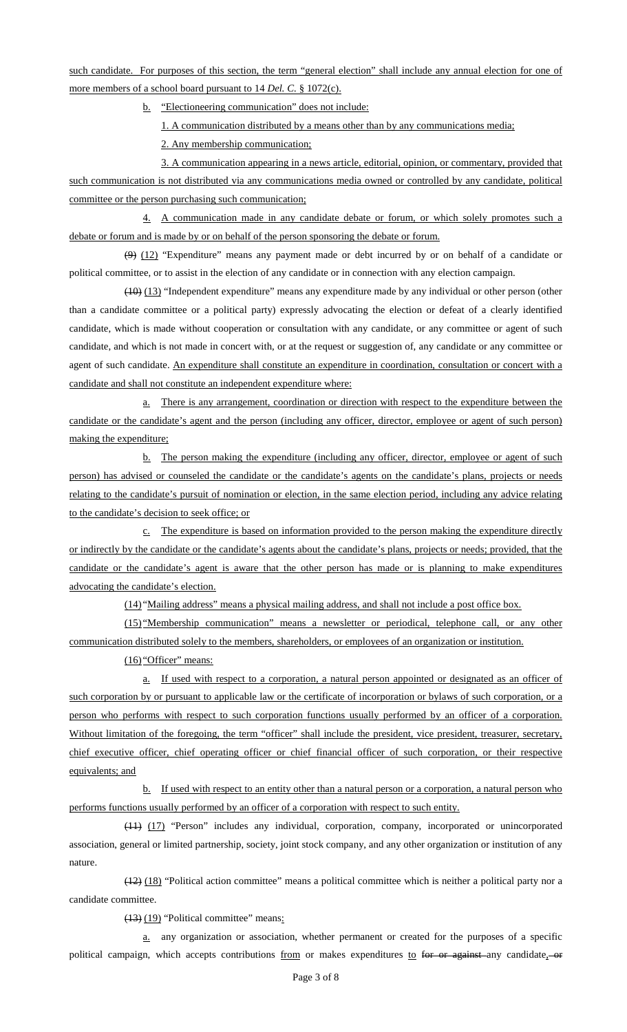such candidate. For purposes of this section, the term "general election" shall include any annual election for one of more members of a school board pursuant to 14 *Del. C.* § 1072(c).

b. "Electioneering communication" does not include:

1. A communication distributed by a means other than by any communications media;

2. Any membership communication;

3. A communication appearing in a news article, editorial, opinion, or commentary, provided that such communication is not distributed via any communications media owned or controlled by any candidate, political committee or the person purchasing such communication;

4. A communication made in any candidate debate or forum, or which solely promotes such a debate or forum and is made by or on behalf of the person sponsoring the debate or forum.

 $(9)$   $(12)$  "Expenditure" means any payment made or debt incurred by or on behalf of a candidate or political committee, or to assist in the election of any candidate or in connection with any election campaign.

(10) (13) "Independent expenditure" means any expenditure made by any individual or other person (other than a candidate committee or a political party) expressly advocating the election or defeat of a clearly identified candidate, which is made without cooperation or consultation with any candidate, or any committee or agent of such candidate, and which is not made in concert with, or at the request or suggestion of, any candidate or any committee or agent of such candidate. An expenditure shall constitute an expenditure in coordination, consultation or concert with a candidate and shall not constitute an independent expenditure where:

a. There is any arrangement, coordination or direction with respect to the expenditure between the candidate or the candidate's agent and the person (including any officer, director, employee or agent of such person) making the expenditure;

b. The person making the expenditure (including any officer, director, employee or agent of such person) has advised or counseled the candidate or the candidate's agents on the candidate's plans, projects or needs relating to the candidate's pursuit of nomination or election, in the same election period, including any advice relating to the candidate's decision to seek office; or

c. The expenditure is based on information provided to the person making the expenditure directly or indirectly by the candidate or the candidate's agents about the candidate's plans, projects or needs; provided, that the candidate or the candidate's agent is aware that the other person has made or is planning to make expenditures advocating the candidate's election.

(14) "Mailing address" means a physical mailing address, and shall not include a post office box.

(15) "Membership communication" means a newsletter or periodical, telephone call, or any other communication distributed solely to the members, shareholders, or employees of an organization or institution.

(16) "Officer" means:

a. If used with respect to a corporation, a natural person appointed or designated as an officer of such corporation by or pursuant to applicable law or the certificate of incorporation or bylaws of such corporation, or a person who performs with respect to such corporation functions usually performed by an officer of a corporation. Without limitation of the foregoing, the term "officer" shall include the president, vice president, treasurer, secretary, chief executive officer, chief operating officer or chief financial officer of such corporation, or their respective equivalents; and

b. If used with respect to an entity other than a natural person or a corporation, a natural person who performs functions usually performed by an officer of a corporation with respect to such entity.

(11) (17) "Person" includes any individual, corporation, company, incorporated or unincorporated association, general or limited partnership, society, joint stock company, and any other organization or institution of any nature.

(12) (18) "Political action committee" means a political committee which is neither a political party nor a candidate committee.

(13) (19) "Political committee" means:

a. any organization or association, whether permanent or created for the purposes of a specific political campaign, which accepts contributions from or makes expenditures to for or against any candidate, or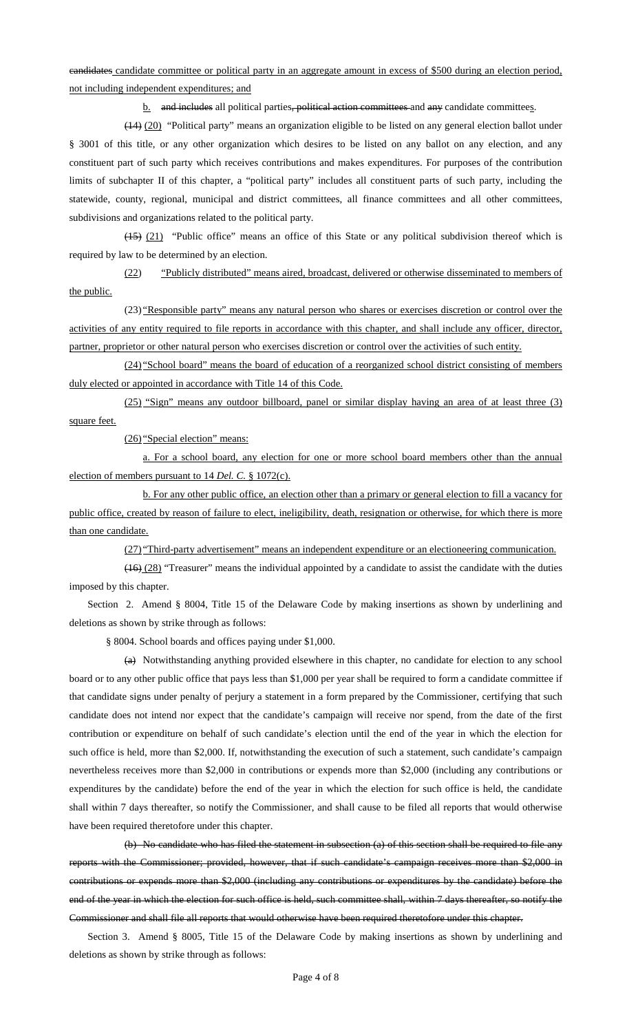candidates candidate committee or political party in an aggregate amount in excess of \$500 during an election period, not including independent expenditures; and

b. and includes all political parties, political action committees and any candidate committees.

(14) (20) "Political party" means an organization eligible to be listed on any general election ballot under § 3001 of this title, or any other organization which desires to be listed on any ballot on any election, and any constituent part of such party which receives contributions and makes expenditures. For purposes of the contribution limits of subchapter II of this chapter, a "political party" includes all constituent parts of such party, including the statewide, county, regional, municipal and district committees, all finance committees and all other committees, subdivisions and organizations related to the political party.

(15) (21) "Public office" means an office of this State or any political subdivision thereof which is required by law to be determined by an election.

(22) "Publicly distributed" means aired, broadcast, delivered or otherwise disseminated to members of the public.

(23) "Responsible party" means any natural person who shares or exercises discretion or control over the activities of any entity required to file reports in accordance with this chapter, and shall include any officer, director, partner, proprietor or other natural person who exercises discretion or control over the activities of such entity.

(24) "School board" means the board of education of a reorganized school district consisting of members duly elected or appointed in accordance with Title 14 of this Code.

(25) "Sign" means any outdoor billboard, panel or similar display having an area of at least three (3) square feet.

(26) "Special election" means:

a. For a school board, any election for one or more school board members other than the annual election of members pursuant to 14 *Del. C.* § 1072(c).

b. For any other public office, an election other than a primary or general election to fill a vacancy for public office, created by reason of failure to elect, ineligibility, death, resignation or otherwise, for which there is more than one candidate.

(27) "Third-party advertisement" means an independent expenditure or an electioneering communication.

(16) (28) "Treasurer" means the individual appointed by a candidate to assist the candidate with the duties imposed by this chapter.

Section 2. Amend § 8004, Title 15 of the Delaware Code by making insertions as shown by underlining and deletions as shown by strike through as follows:

§ 8004. School boards and offices paying under \$1,000.

(a) Notwithstanding anything provided elsewhere in this chapter, no candidate for election to any school board or to any other public office that pays less than \$1,000 per year shall be required to form a candidate committee if that candidate signs under penalty of perjury a statement in a form prepared by the Commissioner, certifying that such candidate does not intend nor expect that the candidate's campaign will receive nor spend, from the date of the first contribution or expenditure on behalf of such candidate's election until the end of the year in which the election for such office is held, more than \$2,000. If, notwithstanding the execution of such a statement, such candidate's campaign nevertheless receives more than \$2,000 in contributions or expends more than \$2,000 (including any contributions or expenditures by the candidate) before the end of the year in which the election for such office is held, the candidate shall within 7 days thereafter, so notify the Commissioner, and shall cause to be filed all reports that would otherwise have been required theretofore under this chapter.

(b) No candidate who has filed the statement in subsection (a) of this section shall be required to file any reports with the Commissioner; provided, however, that if such candidate's campaign receives more than \$2,000 in contributions or expends more than \$2,000 (including any contributions or expenditures by the candidate) before the end of the year in which the election for such office is held, such committee shall, within 7 days thereafter, so notify the Commissioner and shall file all reports that would otherwise have been required theretofore under this chapter.

Section 3. Amend § 8005, Title 15 of the Delaware Code by making insertions as shown by underlining and deletions as shown by strike through as follows: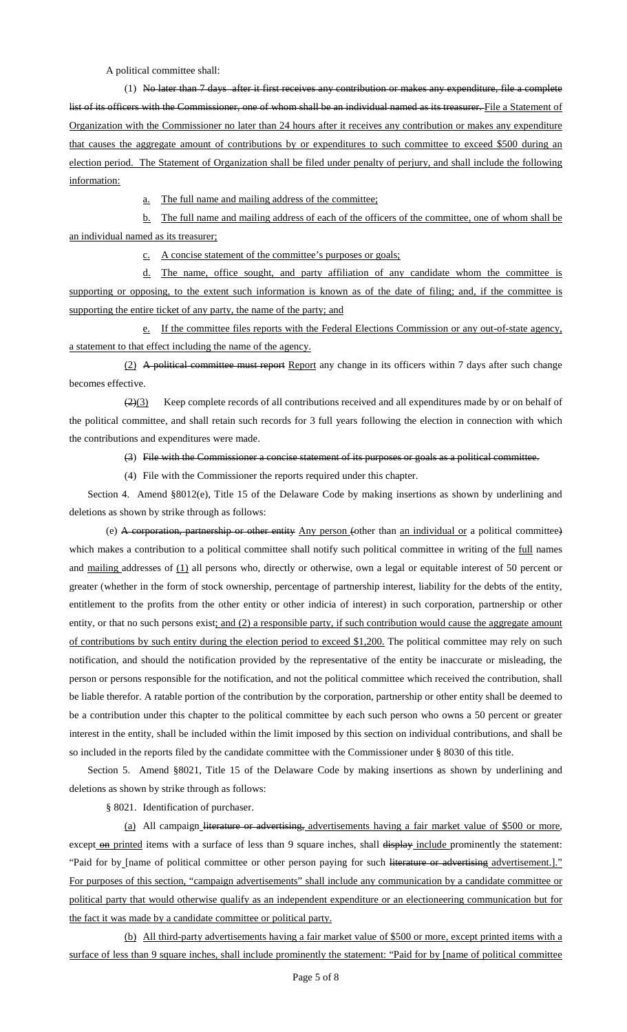A political committee shall:

(1) No later than 7 days after it first receives any contribution or makes any expenditure, file a complete list of its officers with the Commissioner, one of whom shall be an individual named as its treasurer. File a Statement of Organization with the Commissioner no later than 24 hours after it receives any contribution or makes any expenditure that causes the aggregate amount of contributions by or expenditures to such committee to exceed \$500 during an election period. The Statement of Organization shall be filed under penalty of perjury, and shall include the following information:

a. The full name and mailing address of the committee;

b. The full name and mailing address of each of the officers of the committee, one of whom shall be an individual named as its treasurer;

c. A concise statement of the committee's purposes or goals;

d. The name, office sought, and party affiliation of any candidate whom the committee is supporting or opposing, to the extent such information is known as of the date of filing; and, if the committee is supporting the entire ticket of any party, the name of the party; and

e. If the committee files reports with the Federal Elections Commission or any out-of-state agency, a statement to that effect including the name of the agency.

(2) A political committee must report Report any change in its officers within 7 days after such change becomes effective.

 $\left(\frac{2}{3}\right)$  Keep complete records of all contributions received and all expenditures made by or on behalf of the political committee, and shall retain such records for 3 full years following the election in connection with which the contributions and expenditures were made.

(3) File with the Commissioner a concise statement of its purposes or goals as a political committee.

(4) File with the Commissioner the reports required under this chapter.

Section 4. Amend §8012(e), Title 15 of the Delaware Code by making insertions as shown by underlining and deletions as shown by strike through as follows:

(e) A corporation, partnership or other entity Any person (other than an individual or a political committee) which makes a contribution to a political committee shall notify such political committee in writing of the full names and mailing addresses of  $(1)$  all persons who, directly or otherwise, own a legal or equitable interest of 50 percent or greater (whether in the form of stock ownership, percentage of partnership interest, liability for the debts of the entity, entitlement to the profits from the other entity or other indicia of interest) in such corporation, partnership or other entity, or that no such persons exist; and (2) a responsible party, if such contribution would cause the aggregate amount of contributions by such entity during the election period to exceed \$1,200. The political committee may rely on such notification, and should the notification provided by the representative of the entity be inaccurate or misleading, the person or persons responsible for the notification, and not the political committee which received the contribution, shall be liable therefor. A ratable portion of the contribution by the corporation, partnership or other entity shall be deemed to be a contribution under this chapter to the political committee by each such person who owns a 50 percent or greater interest in the entity, shall be included within the limit imposed by this section on individual contributions, and shall be so included in the reports filed by the candidate committee with the Commissioner under § 8030 of this title.

Section 5. Amend §8021, Title 15 of the Delaware Code by making insertions as shown by underlining and deletions as shown by strike through as follows:

§ 8021. Identification of purchaser.

(a) All campaign literature or advertising, advertisements having a fair market value of \$500 or more, except on printed items with a surface of less than 9 square inches, shall display include prominently the statement: "Paid for by [name of political committee or other person paying for such literature or advertising advertisement.]." For purposes of this section, "campaign advertisements" shall include any communication by a candidate committee or political party that would otherwise qualify as an independent expenditure or an electioneering communication but for the fact it was made by a candidate committee or political party.

(b) All third-party advertisements having a fair market value of \$500 or more, except printed items with a surface of less than 9 square inches, shall include prominently the statement: "Paid for by [name of political committee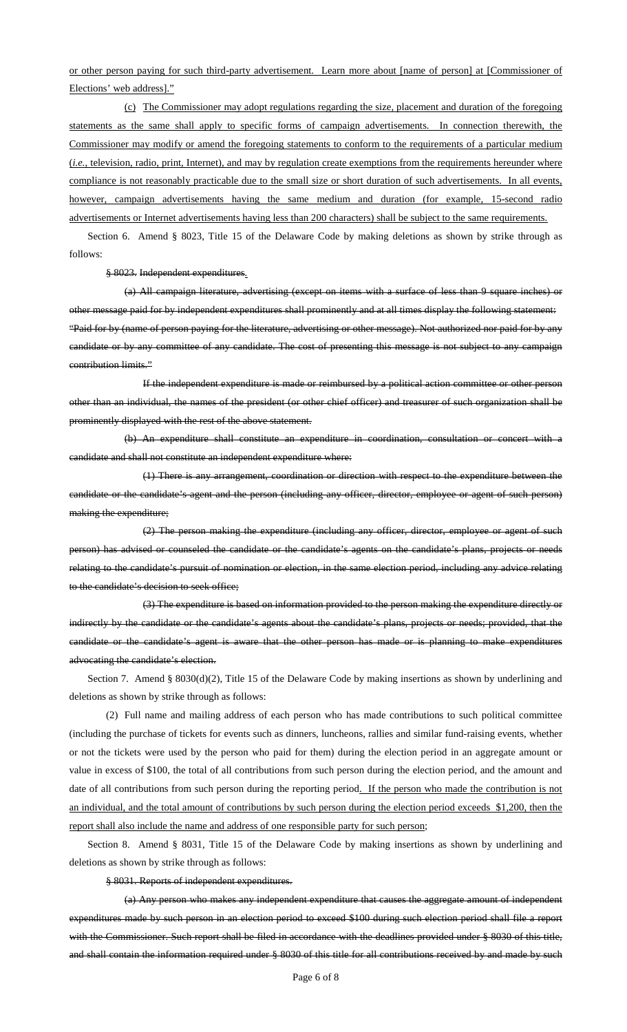# or other person paying for such third-party advertisement. Learn more about [name of person] at [Commissioner of Elections' web address]."

(c) The Commissioner may adopt regulations regarding the size, placement and duration of the foregoing statements as the same shall apply to specific forms of campaign advertisements. In connection therewith, the Commissioner may modify or amend the foregoing statements to conform to the requirements of a particular medium (*i.e.*, television, radio, print, Internet), and may by regulation create exemptions from the requirements hereunder where compliance is not reasonably practicable due to the small size or short duration of such advertisements. In all events, however, campaign advertisements having the same medium and duration (for example, 15-second radio advertisements or Internet advertisements having less than 200 characters) shall be subject to the same requirements.

Section 6. Amend § 8023, Title 15 of the Delaware Code by making deletions as shown by strike through as follows:

§ 8023. Independent expenditures.

(a) All campaign literature, advertising (except on items with a surface of less than 9 square inches) or other message paid for by independent expenditures shall prominently and at all times display the following statement: "Paid for by (name of person paying for the literature, advertising or other message). Not authorized nor paid for by any candidate or by any committee of any candidate. The cost of presenting this message is not subject to any campaign contribution limits."

If the independent expenditure is made or reimbursed by a political action committee or other person other than an individual, the names of the president (or other chief officer) and treasurer of such organization shall be prominently displayed with the rest of the above statement.

(b) An expenditure shall constitute an expenditure in coordination, consultation or concert with a candidate and shall not constitute an independent expenditure where:

(1) There is any arrangement, coordination or direction with respect to the expenditure between the candidate or the candidate's agent and the person (including any officer, director, employee or agent of such person) making the expenditure;

(2) The person making the expenditure (including any officer, director, employee or agent of such person) has advised or counseled the candidate or the candidate's agents on the candidate's plans, projects or needs relating to the candidate's pursuit of nomination or election, in the same election period, including any advice relating to the candidate's decision to seek office;

(3) The expenditure is based on information provided to the person making the expenditure directly or indirectly by the candidate or the candidate's agents about the candidate's plans, projects or needs; provided, that the candidate or the candidate's agent is aware that the other person has made or is planning to make expenditures advocating the candidate's election.

Section 7. Amend § 8030(d)(2), Title 15 of the Delaware Code by making insertions as shown by underlining and deletions as shown by strike through as follows:

(2) Full name and mailing address of each person who has made contributions to such political committee (including the purchase of tickets for events such as dinners, luncheons, rallies and similar fund-raising events, whether or not the tickets were used by the person who paid for them) during the election period in an aggregate amount or value in excess of \$100, the total of all contributions from such person during the election period, and the amount and date of all contributions from such person during the reporting period. If the person who made the contribution is not an individual, and the total amount of contributions by such person during the election period exceeds \$1,200, then the report shall also include the name and address of one responsible party for such person;

Section 8. Amend § 8031, Title 15 of the Delaware Code by making insertions as shown by underlining and deletions as shown by strike through as follows:

§ 8031. Reports of independent expenditures.

(a) Any person who makes any independent expenditure that causes the aggregate amount of independent expenditures made by such person in an election period to exceed \$100 during such election period shall file a report with the Commissioner. Such report shall be filed in accordance with the deadlines provided under § 8030 of this title, and shall contain the information required under § 8030 of this title for all contributions received by and made by such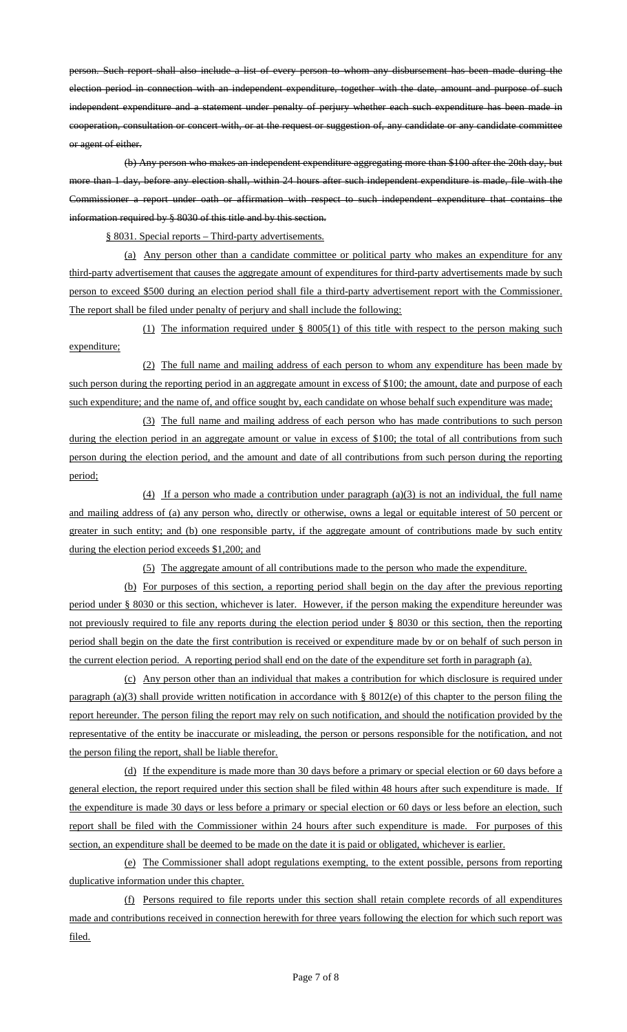person. Such report shall also include a list of every person to whom any disbursement has been made during the election period in connection with an independent expenditure, together with the date, amount and purpose of such independent expenditure and a statement under penalty of perjury whether each such expenditure has been made in cooperation, consultation or concert with, or at the request or suggestion of, any candidate or any candidate committee or agent of either.

(b) Any person who makes an independent expenditure aggregating more than \$100 after the 20th day, but more than 1 day, before any election shall, within 24 hours after such independent expenditure is made, file with the Commissioner a report under oath or affirmation with respect to such independent expenditure that contains the information required by § 8030 of this title and by this section.

§ 8031. Special reports – Third-party advertisements.

(a) Any person other than a candidate committee or political party who makes an expenditure for any third-party advertisement that causes the aggregate amount of expenditures for third-party advertisements made by such person to exceed \$500 during an election period shall file a third-party advertisement report with the Commissioner. The report shall be filed under penalty of perjury and shall include the following:

(1) The information required under § 8005(1) of this title with respect to the person making such expenditure;

(2) The full name and mailing address of each person to whom any expenditure has been made by such person during the reporting period in an aggregate amount in excess of \$100; the amount, date and purpose of each such expenditure; and the name of, and office sought by, each candidate on whose behalf such expenditure was made;

(3) The full name and mailing address of each person who has made contributions to such person during the election period in an aggregate amount or value in excess of \$100; the total of all contributions from such person during the election period, and the amount and date of all contributions from such person during the reporting period;

(4) If a person who made a contribution under paragraph  $(a)(3)$  is not an individual, the full name and mailing address of (a) any person who, directly or otherwise, owns a legal or equitable interest of 50 percent or greater in such entity; and (b) one responsible party, if the aggregate amount of contributions made by such entity during the election period exceeds \$1,200; and

(5) The aggregate amount of all contributions made to the person who made the expenditure.

(b) For purposes of this section, a reporting period shall begin on the day after the previous reporting period under § 8030 or this section, whichever is later. However, if the person making the expenditure hereunder was not previously required to file any reports during the election period under § 8030 or this section, then the reporting period shall begin on the date the first contribution is received or expenditure made by or on behalf of such person in the current election period. A reporting period shall end on the date of the expenditure set forth in paragraph (a).

(c) Any person other than an individual that makes a contribution for which disclosure is required under paragraph (a)(3) shall provide written notification in accordance with § 8012(e) of this chapter to the person filing the report hereunder. The person filing the report may rely on such notification, and should the notification provided by the representative of the entity be inaccurate or misleading, the person or persons responsible for the notification, and not the person filing the report, shall be liable therefor.

(d) If the expenditure is made more than 30 days before a primary or special election or 60 days before a general election, the report required under this section shall be filed within 48 hours after such expenditure is made. If the expenditure is made 30 days or less before a primary or special election or 60 days or less before an election, such report shall be filed with the Commissioner within 24 hours after such expenditure is made. For purposes of this section, an expenditure shall be deemed to be made on the date it is paid or obligated, whichever is earlier.

(e) The Commissioner shall adopt regulations exempting, to the extent possible, persons from reporting duplicative information under this chapter.

(f) Persons required to file reports under this section shall retain complete records of all expenditures made and contributions received in connection herewith for three years following the election for which such report was filed.